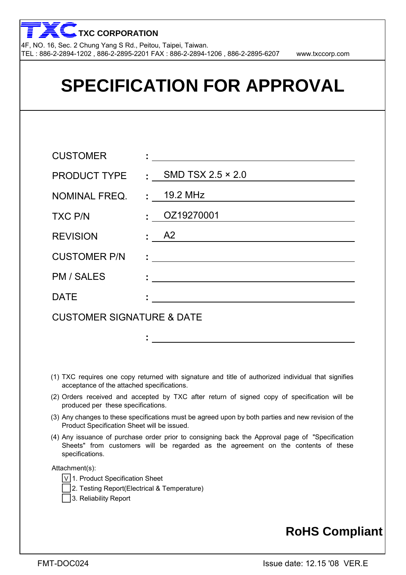

| <b>SPECIFICATION FOR APPROVAL</b>    |                                               |  |  |  |  |  |
|--------------------------------------|-----------------------------------------------|--|--|--|--|--|
|                                      |                                               |  |  |  |  |  |
| <b>CUSTOMER</b>                      | <u> 1980 - Andrea Andrew Maria (h. 1980).</u> |  |  |  |  |  |
| <b>PRODUCT TYPE</b>                  | : SMD TSX $2.5 \times 2.0$                    |  |  |  |  |  |
| NOMINAL FREQ.                        | $\frac{1}{2}$ 19.2 MHz                        |  |  |  |  |  |
| <b>TXC P/N</b>                       | $\frac{1}{2}$ OZ19270001                      |  |  |  |  |  |
| <b>REVISION</b>                      | $\pm$ A2                                      |  |  |  |  |  |
| <b>CUSTOMER P/N</b>                  |                                               |  |  |  |  |  |
| <b>PM / SALES</b>                    |                                               |  |  |  |  |  |
| <b>DATE</b>                          |                                               |  |  |  |  |  |
| <b>CUSTOMER SIGNATURE &amp; DATE</b> |                                               |  |  |  |  |  |
|                                      |                                               |  |  |  |  |  |

- (1) TXC requires one copy returned with signature and title of authorized individual that signifies acceptance of the attached specifications.
- (2) Orders received and accepted by TXC after return of signed copy of specification will be produced per these specifications.
- (3) Any changes to these specifications must be agreed upon by both parties and new revision of the Product Specification Sheet will be issued.
- (4) Any issuance of purchase order prior to consigning back the Approval page of "Specification Sheets" from customers will be regarded as the agreement on the contents of these specifications.

Attachment(s):

- V 1. Product Specification Sheet
- 2. Testing Report(Electrical & Temperature)
- 3. Reliability Report

### **RoHS Compliant**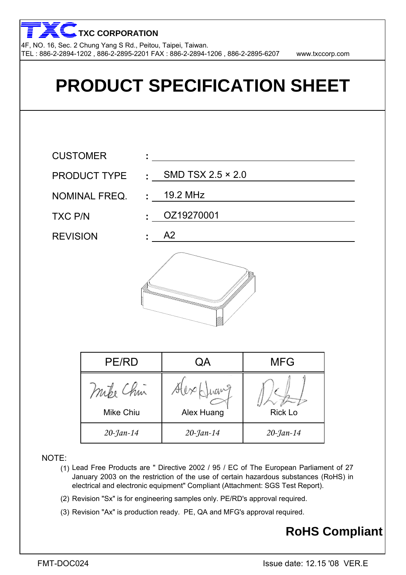4F, NO. 16, Sec. 2 Chung Yang S Rd., Peitou, Taipei, Taiwan. TEL : 886-2-2894-1202 , 886-2-2895-2201 FAX : 886-2-2894-1206 , 886-2-2895-6207 www.txccorp.com **TXC CORPORATION**



- (1) Lead Free Products are " Directive 2002 / 95 / EC of The European Parliament of 27 January 2003 on the restriction of the use of certain hazardous substances (RoHS) in electrical and electronic equipment" Compliant (Attachment: SGS Test Report).
- (2) Revision "Sx" is for engineering samples only. PE/RD's approval required.
- (3) Revision "Ax" is production ready. PE, QA and MFG's approval required.

### **RoHS Compliant**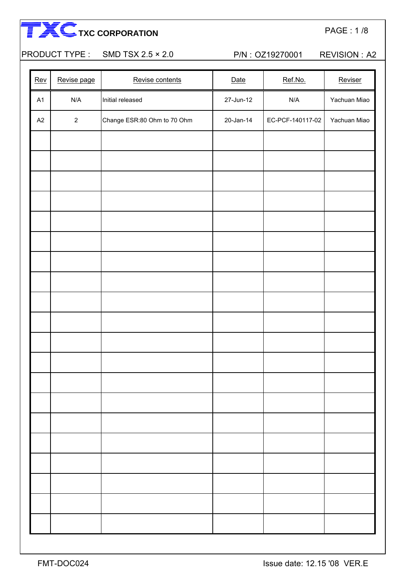|                |                             |           |                  | <b>REVISION: A2</b>                                |
|----------------|-----------------------------|-----------|------------------|----------------------------------------------------|
| Revise page    | Revise contents             | Date      | Ref.No.          | Reviser                                            |
| N/A            | Initial released            | 27-Jun-12 | N/A              | Yachuan Miao                                       |
| $\overline{2}$ | Change ESR:80 Ohm to 70 Ohm | 20-Jan-14 | EC-PCF-140117-02 | Yachuan Miao                                       |
|                |                             |           |                  |                                                    |
|                |                             |           |                  |                                                    |
|                |                             |           |                  |                                                    |
|                |                             |           |                  |                                                    |
|                |                             |           |                  |                                                    |
|                |                             |           |                  |                                                    |
|                |                             |           |                  |                                                    |
|                |                             |           |                  |                                                    |
|                |                             |           |                  |                                                    |
|                |                             |           |                  |                                                    |
|                |                             |           |                  |                                                    |
|                |                             |           |                  |                                                    |
|                |                             |           |                  |                                                    |
|                |                             |           |                  |                                                    |
|                |                             |           |                  |                                                    |
|                |                             |           |                  |                                                    |
|                |                             |           |                  |                                                    |
|                |                             |           |                  |                                                    |
|                |                             |           |                  |                                                    |
|                |                             |           |                  |                                                    |
|                |                             |           |                  | PRODUCT TYPE: SMD TSX 2.5 × 2.0<br>P/N: OZ19270001 |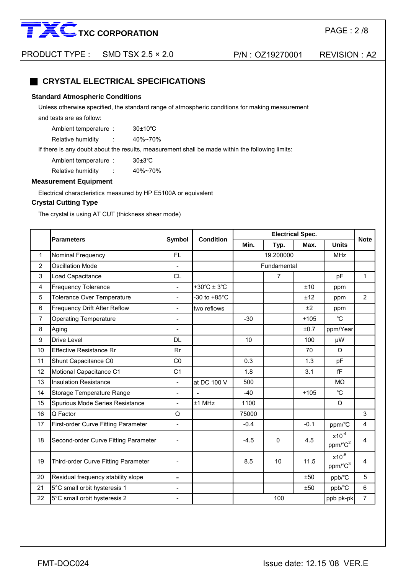

PRODUCT TYPE : SMD TSX 2.5 × 2.0 P/N : OZ19270001 REVISION : A2

#### ■ CRYSTAL ELECTRICAL SPECIFICATIONS

#### **Standard Atmospheric Conditions**

Unless otherwise specified, the standard range of atmospheric conditions for making measurement

and tests are as follow:

Ambient temperature : 30±10℃ Relative humidity : 40%~70%

If there is any doubt about the results, measurement shall be made within the following limits:

Ambient temperature : 30±3℃ Relative humidity : 40%~70%

#### **Measurement Equipment**

Electrical characteristics measured by HP E5100A or equivalent

#### **Crystal Cutting Type**

The crystal is using AT CUT (thickness shear mode)

|    |                                      |                          | <b>Condition</b>       |                 | <b>Electrical Spec.</b> |        |                                   | <b>Note</b>    |
|----|--------------------------------------|--------------------------|------------------------|-----------------|-------------------------|--------|-----------------------------------|----------------|
|    | <b>Parameters</b>                    | Symbol                   |                        | Min.            | Typ.                    | Max.   | <b>Units</b>                      |                |
| 1  | Nominal Frequency                    | <b>FL</b>                |                        |                 | 19.200000               |        |                                   |                |
| 2  | <b>Oscillation Mode</b>              | $\overline{\phantom{0}}$ |                        |                 | Fundamental             |        |                                   |                |
| 3  | Load Capacitance                     | <b>CL</b>                |                        |                 | $\overline{7}$          |        | pF                                | $\mathbf{1}$   |
| 4  | <b>Frequency Tolerance</b>           | $\overline{\phantom{0}}$ | +30°C ± 3°C            |                 |                         | ±10    | ppm                               |                |
| 5  | <b>Tolerance Over Temperature</b>    |                          | -30 to $+85^{\circ}$ C |                 |                         | ±12    | ppm                               | $\overline{2}$ |
| 6  | Frequency Drift After Reflow         | $\blacksquare$           | two reflows            |                 |                         | ±2     | ppm                               |                |
| 7  | <b>Operating Temperature</b>         | $\blacksquare$           |                        | $-30$           |                         | $+105$ | $^{\circ}$ C                      |                |
| 8  | Aging                                | $\blacksquare$           |                        |                 |                         | ±0.7   | ppm/Year                          |                |
| 9  | Drive Level                          | DL                       |                        | 10 <sup>1</sup> |                         | 100    | μW                                |                |
| 10 | <b>Effective Resistance Rr</b>       | Rr                       |                        |                 |                         | 70     | Ω                                 |                |
| 11 | Shunt Capacitance C0                 | CO                       |                        | 0.3             |                         | 1.3    | pF                                |                |
| 12 | Motional Capacitance C1              | C <sub>1</sub>           |                        | 1.8             |                         | 3.1    | fF                                |                |
| 13 | <b>Insulation Resistance</b>         | $\blacksquare$           | at DC 100 V            | 500             |                         |        | $M\Omega$                         |                |
| 14 | Storage Temperature Range            | $\blacksquare$           | $\blacksquare$         | $-40$           |                         | $+105$ | $^{\circ}C$                       |                |
| 15 | Spurious Mode Series Resistance      | $\blacksquare$           | ±1 MHz                 | 1100            |                         |        | Ω                                 |                |
| 16 | Q Factor                             | Q                        |                        | 75000           |                         |        |                                   | 3              |
| 17 | First-order Curve Fitting Parameter  | ÷.                       |                        | $-0.4$          |                         | $-0.1$ | ppm/°C                            | $\overline{4}$ |
| 18 | Second-order Curve Fitting Parameter |                          |                        | $-4.5$          | $\Omega$                | 4.5    | $x10^{-4}$<br>ppm/°C <sup>2</sup> | 4              |
| 19 | Third-order Curve Fitting Parameter  |                          |                        | 8.5             | 10                      | 11.5   | $x10^{-5}$<br>ppm/°C <sup>3</sup> | 4              |
| 20 | Residual frequency stability slope   | $\qquad \qquad -$        |                        |                 |                         | ±50    | ppb/°C                            | 5              |
| 21 | 5°C small orbit hysteresis 1         | Ξ.                       |                        |                 |                         | ±50    | ppb/°C                            | 6              |
| 22 | 5°C small orbit hysteresis 2         |                          |                        |                 | 100                     |        | ppb pk-pk                         | $\overline{7}$ |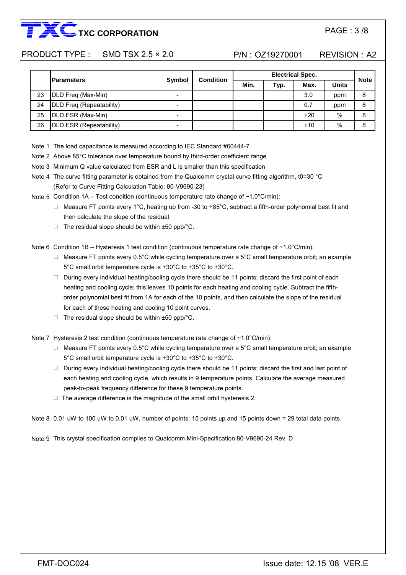#### PRODUCT TYPE : SMD TSX 2.5 × 2.0 P/N : OZ19270001 REVISION : A2

|    | <b>Parameters</b>        |               | <b>Condition</b> | <b>Electrical Spec.</b> |      |      |              |             |
|----|--------------------------|---------------|------------------|-------------------------|------|------|--------------|-------------|
|    |                          | <b>Symbol</b> |                  | Min.                    | Typ. | Max. | <b>Units</b> | <b>Note</b> |
| 23 | DLD Freq (Max-Min)       |               |                  |                         |      | 3.0  | ppm          | 8           |
| 24 | DLD Freq (Repeatability) |               |                  |                         |      | 0.7  | ppm          | 8           |
| 25 | DLD ESR (Max-Min)        |               |                  |                         |      | ±20  | $\%$         | 8           |
| 26 | DLD ESR (Repeatability)  |               |                  |                         |      | ±10  | %            | 8           |

Note 1 The load capacitance is measured according to IEC Standard #60444-7

Note 2 Above 85°C tolerance over temperature bound by third-order coefficient range

- Note 3 Minimum Q value calculated from ESR and L is smaller than this specification
- (Refer to Curve Fitting Calculation Table: 80-V9690-23) Note 4 The curve fitting parameter is obtained from the Qualcomm crystal curve fitting algorithm, t0=30 °C

Note 5 Condition 1A – Test condition (continuous temperature rate change of ~1.0°C/min):

- □ Measure FT points every 1°C, heating up from -30 to +85°C, subtract a fifth-order polynomial best fit and then calculate the slope of the residual.
- $\Box$  The residual slope should be within  $\pm 50$  ppb/°C.

Note 6 Condition 1B – Hysteresis 1 test condition (continuous temperature rate change of ~1.0°C/min):

- □ Measure FT points every 0.5°C while cycling temperature over a 5°C small temperature orbit; an example 5°C small orbit temperature cycle is +30°C to +35°C to +30°C.
- □ During every individual heating/cooling cycle there should be 11 points; discard the first point of each order polynomial best fit from 1A for each of the 10 points, and then calculate the slope of the residual heating and cooling cycle; this leaves 10 points for each heating and cooling cycle. Subtract the fifthfor each of these heating and cooling 10 point curves.
- $\Box$  The residual slope should be within  $\pm 50$  ppb/ $\degree$ C.

Note 7 Hysteresis 2 test condition (continuous temperature rate change of  $\sim$  1.0°C/min):

- □ Measure FT points every 0.5°C while cycling temperature over a 5°C small temperature orbit; an example 5°C small orbit temperature cycle is +30°C to +35°C to +30°C.
- □ During every individual heating/cooling cycle there should be 11 points; discard the first and last point of each heating and cooling cycle, which results in 9 temperature points. Calculate the average measured peak-to-peak frequency difference for these 9 temperature points.
- □ The average difference is the magnitude of the small orbit hysteresis 2.

Note 8 0.01 uW to 100 uW to 0.01 uW, number of points: 15 points up and 15 points down = 29 total data points

Note 9 This crystal specification complies to Qualcomm Mini-Specification 80-V9690-24 Rev. D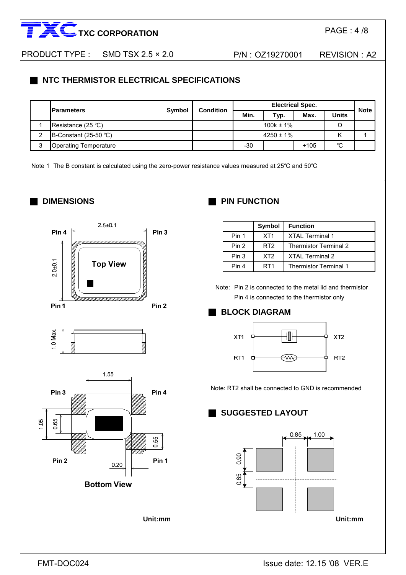PAGE : 4 /8

PRODUCT TYPE : SMD TSX 2.5 × 2.0 P/N : 0Z19270001 REVISION : A2

### **NTC THERMISTOR ELECTRICAL SPECIFICATIONS**

|   | <b>IParameters</b>           | <b>Symbol</b><br><b>Condition</b> |  | <b>Electrical Spec.</b> |      |        |              |             |
|---|------------------------------|-----------------------------------|--|-------------------------|------|--------|--------------|-------------|
|   |                              |                                   |  | Min.                    | Typ. | Max.   | <b>Units</b> | <b>Note</b> |
|   | Resistance $(25 \degree C)$  |                                   |  | $100k \pm 1\%$          |      |        |              |             |
|   | B-Constant $(25-50 °C)$      |                                   |  | $4250 \pm 1\%$          |      |        |              |             |
| ⌒ | <b>Operating Temperature</b> |                                   |  | $-30$                   |      | $+105$ | °C           |             |

Note 1 The B constant is calculated using the zero-power resistance values measured at 25°C and 50°C

#### ■ **DIMENSIONS**



### **PIN FUNCTION**

|       | Symbol          | <b>Function</b>              |
|-------|-----------------|------------------------------|
| Pin 1 | XT <sub>1</sub> | <b>XTAL Terminal 1</b>       |
| Pin 2 | RT <sub>2</sub> | <b>Thermistor Terminal 2</b> |
| Pin 3 | XT <sub>2</sub> | <b>XTAL Terminal 2</b>       |
| Pin 4 | RT <sub>1</sub> | <b>Thermistor Terminal 1</b> |

Note: Pin 2 is connected to the metal lid and thermistor Pin 4 is connected to the thermistor only

### **BLOCK DIAGRAM**



Note: RT2 shall be connected to GND is recommended

### ■ **SUGGESTED LAYOUT**

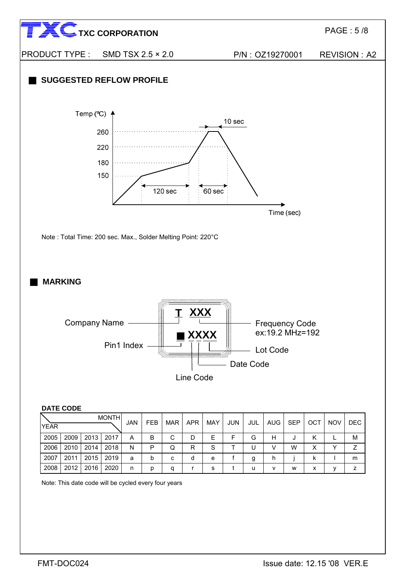

Note: This date code will be cycled every four years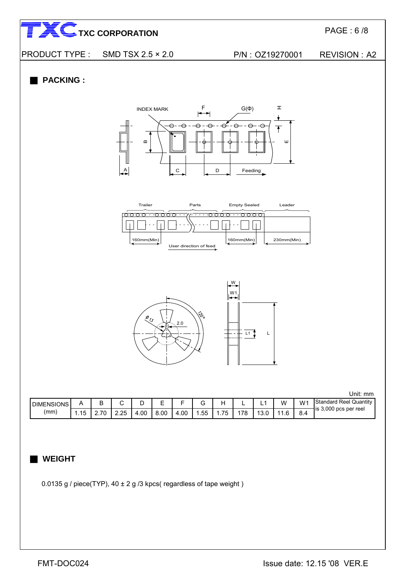PAGE : 6 /8





#### **PACKING:**



| <b>DIMENSIONS</b> |                                    |                                      |      |     | $\overline{\phantom{0}}$<br>-<br>- |     |     |         | -   |                       | w      | w۰        | Standard Reel<br>Quantity   |
|-------------------|------------------------------------|--------------------------------------|------|-----|------------------------------------|-----|-----|---------|-----|-----------------------|--------|-----------|-----------------------------|
| (mm               | $\overline{A}$ $\overline{B}$<br>. | $\overline{\phantom{a}}$<br><u>.</u> | 2.25 | .00 | 8.00                               | .00 | .55 | --<br>. | '78 | $\overline{a}$<br>o.u | $\sim$ | . 4<br>◡… | 3.000<br>İS<br>pcs per reel |

#### ■ **WEIGHT**

0.0135 g / piece(TYP),  $40 \pm 2$  g /3 kpcs( regardless of tape weight)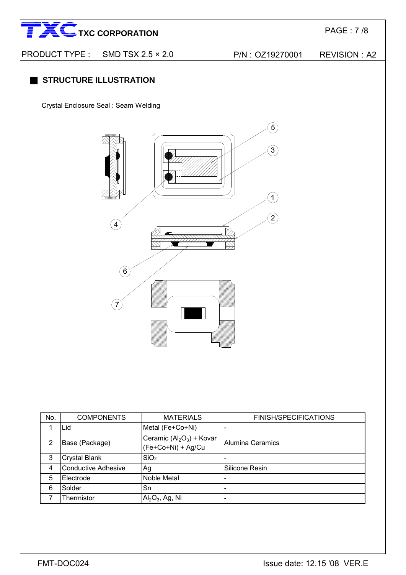

PRODUCT TYPE : SMD TSX 2.5 × 2.0 P/N : OZ19270001 REVISION : A2

### **STRUCTURE ILLUSTRATION**

Crystal Enclosure Seal : Seam Welding



| No. | <b>COMPONENTS</b>          | <b>MATERIALS</b>                                | <b>FINISH/SPECIFICATIONS</b> |
|-----|----------------------------|-------------------------------------------------|------------------------------|
|     | Lid                        | Metal (Fe+Co+Ni)                                |                              |
| 2   | Base (Package)             | Ceramic $(Al2O3)$ + Kovar<br>(Fe+Co+Ni) + Ag/Cu | Alumina Ceramics             |
| 3   | <b>Crystal Blank</b>       | SiO <sub>2</sub>                                |                              |
| 4   | <b>Conductive Adhesive</b> | Ag                                              | Silicone Resin               |
| 5   | Electrode                  | Noble Metal                                     |                              |
| 6   | Solder                     | Sn                                              |                              |
|     | Thermistor                 | $\text{Al}_2\text{O}_3$ , Ag, Ni                |                              |